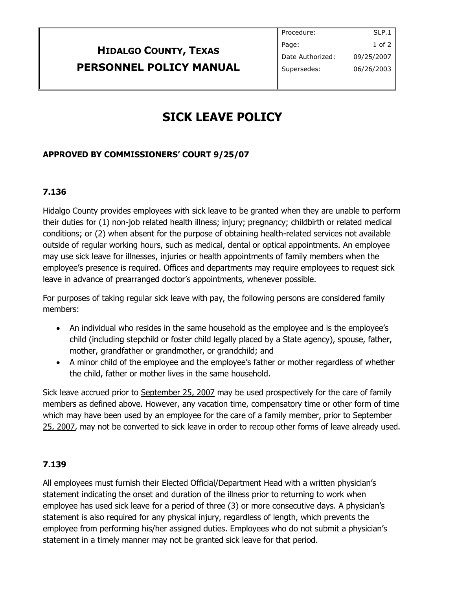## **HIDALGO COUNTY, TEXAS PERSONNEL POLICY MANUAL**

# **SICK LEAVE POLICY**

### **APPROVED BY COMMISSIONERS' COURT 9/25/07**

#### **7.136**

Hidalgo County provides employees with sick leave to be granted when they are unable to perform their duties for (1) non-job related health illness; injury; pregnancy; childbirth or related medical conditions; or (2) when absent for the purpose of obtaining health-related services not available outside of regular working hours, such as medical, dental or optical appointments. An employee may use sick leave for illnesses, injuries or health appointments of family members when the employee's presence is required. Offices and departments may require employees to request sick leave in advance of prearranged doctor's appointments, whenever possible.

For purposes of taking regular sick leave with pay, the following persons are considered family members:

- An individual who resides in the same household as the employee and is the employee's child (including stepchild or foster child legally placed by a State agency), spouse, father, mother, grandfather or grandmother, or grandchild; and
- A minor child of the employee and the employee's father or mother regardless of whether the child, father or mother lives in the same household.

Sick leave accrued prior to September 25, 2007 may be used prospectively for the care of family members as defined above. However, any vacation time, compensatory time or other form of time which may have been used by an employee for the care of a family member, prior to September 25, 2007, may not be converted to sick leave in order to recoup other forms of leave already used.

#### **7.139**

All employees must furnish their Elected Official/Department Head with a written physician's statement indicating the onset and duration of the illness prior to returning to work when employee has used sick leave for a period of three (3) or more consecutive days. A physician's statement is also required for any physical injury, regardless of length, which prevents the employee from performing his/her assigned duties. Employees who do not submit a physician's statement in a timely manner may not be granted sick leave for that period.